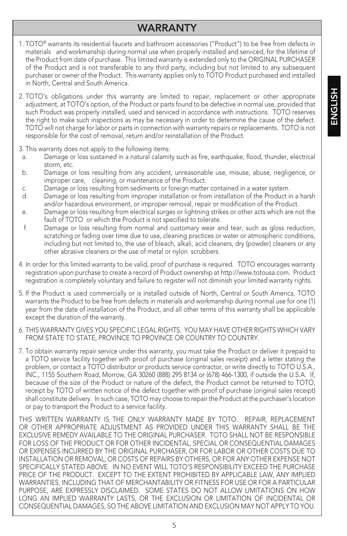# **HSITDNE** ENGLISH

# WARRANTY

- 1. TOTO® warrants its residential faucets and bathroom accessories ("Product") to be free from defects in materials and workmanship during normal use when properly installed and serviced, for the lifetime of the Product from date of purchase. This limited warranty is extended only to the ORIGINAL PURCHASER of the Product and is not transferable to any third party, including but not limited to any subsequent purchaser or owner of the Product. This warranty applies only to TOTO Product purchased and installed in North, Central and South America.
- 2. TOTO's obligations under this warranty are limited to repair, replacement or other appropriate adjustment, at TOTO's option, of the Product or parts found to be defective in normal use, provided that such Product was properly installed, used and serviced in accordance with instructions. TOTO reserves the right to make such inspections as may be necessary in order to determine the cause of the defect. TOTO will not charge for labor or parts in connection with warranty repairs or replacements. TOTO is not responsible for the cost of removal, return and/or reinstallation of the Product.
- 3. This warranty does not apply to the following items:
- a. Damage or loss sustained in a natural calamity such as fire, earthquake, flood, thunder, electrical storm, etc.
- b. Damage or loss resulting from any accident, unreasonable use, misuse, abuse, negligence, or improper care, cleaning, or maintenance of the Product.
- c. Damage or loss resulting from sediments or foreign matter contained in a water system.
- d. Damage or loss resulting from improper installation or from installation of the Product in a harsh and/or hazardous environment, or improper removal, repair or modification of the Product.
- e. Damage or loss resulting from electrical surges or lightning strikes or other acts which are not the fault of TOTO or which the Product is not specified to tolerate.
- f. Damage or loss resulting from normal and customary wear and tear, such as gloss reduction, scratching or fading over time due to use, cleaning practices or water or atmospheric conditions, including but not limited to, the use of bleach, alkali, acid cleaners, dry (powder) cleaners or any other abrasive cleaners or the use of metal or nylon scrubbers.
- 4. In order for this limited warranty to be valid, proof of purchase is required. TOTO encourages warranty registration upon purchase to create a record of Product ownership at http://www.totousa.com. Product registration is completely voluntary and failure to register will not diminish your limited warranty rights.
- 5. If the Product is used commercially or is installed outside of North, Central or South America, TOTO warrants the Product to be free from defects in materials and workmanship during normal use for one (1) year from the date of installation of the Product, and all other terms of this warranty shall be applicable except the duration of the warranty.
- 6. THIS WARRANTY GIVES YOU SPECIFIC LEGAL RIGHTS. YOU MAY HAVE OTHER RIGHTS WHICH VARY FROM STATE TO STATE, PROVINCE TO PROVINCE OR COUNTRY TO COUNTRY.
- 7. To obtain warranty repair service under this warranty, you must take the Product or deliver it prepaid to a TOTO service facility together with proof of purchase (original sales receipt) and a letter stating the problem, or contact a TOTO distributor or products service contractor, or write directly to TOTO U.S.A., INC., 1155 Southern Road, Morrow, GA 30260 (888) 295 8134 or (678) 466-1300, if outside the U.S.A. If, because of the size of the Product or nature of the defect, the Product cannot be returned to TOTO, receipt by TOTO of written notice of the defect together with proof of purchase (original sales receipt) shall constitute delivery. In such case, TOTO may choose to repair the Product at the purchaser's location or pay to transport the Product to a service facility.

THIS WRITTEN WARRANTY IS THE ONLY WARRANTY MADE BY TOTO. REPAIR, REPLACEMENT OR OTHER APPROPRIATE ADJUSTMENT AS PROVIDED UNDER THIS WARRANTY SHALL BE THE EXCLUSIVE REMEDY AVAILABLE TO THE ORIGINAL PURCHASER. TOTO SHALL NOT BE RESPONSIBLE FOR LOSS OF THE PRODUCT OR FOR OTHER INCIDENTAL, SPECIAL OR CONSEQUENTIAL DAMAGES OR EXPENSES INCURRED BY THE ORIGINAL PURCHASER, OR FOR LABOR OR OTHER COSTS DUE TO INSTALLATION OR REMOVAL, OR COSTS OF REPAIRS BY OTHERS, OR FOR ANY OTHER EXPENSE NOT SPECIFICALLY STATED ABOVE. IN NO EVENT WILL TOTO'S RESPONSIBILITY EXCEED THE PURCHASE PRICE OF THE PRODUCT. EXCEPT TO THE EXTENT PROHIBITED BY APPLICABLE LAW, ANY IMPLIED WARRANTIES, INCLUDING THAT OF MERCHANTABILITY OR FITNESS FOR USE OR FOR A PARTICULAR PURPOSE, ARE EXPRESSLY DISCLAIMED. SOME STATES DO NOT ALLOW LIMITATIONS ON HOW LONG AN IMPLIED WARRANTY LASTS, OR THE EXCLUSION OR LIMITATION OF INCIDENTAL OR CONSEQUENTIAL DAMAGES, SO THE ABOVE LIMITATION AND EXCLUSION MAY NOT APPLY TO YOU.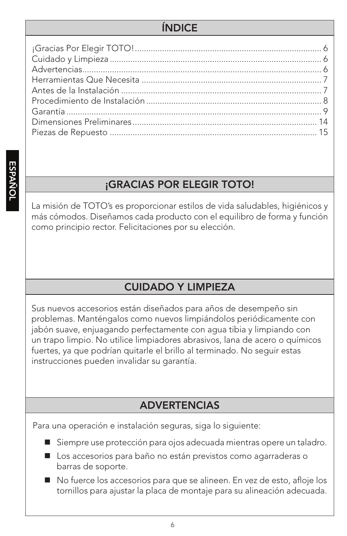# ÍNDICE

# ¡GRACIAS POR ELEGIR TOTO!

La misión de TOTO's es proporcionar estilos de vida saludables, higiénicos y más cómodos. Diseñamos cada producto con el equilibro de forma y función como principio rector. Felicitaciones por su elección.

# CUIDADO Y LIMPIEZA

Sus nuevos accesorios están diseñados para años de desempeño sin problemas. Manténgalos como nuevos limpiándolos periódicamente con jabón suave, enjuagando perfectamente con agua tibia y limpiando con un trapo limpio. No utilice limpiadores abrasivos, lana de acero o químicos fuertes, ya que podrían quitarle el brillo al terminado. No seguir estas instrucciones pueden invalidar su garantía.

# ADVERTENCIAS

Para una operación e instalación seguras, siga lo siguiente:

- Siempre use protección para ojos adecuada mientras opere un taladro.
- Los accesorios para baño no están previstos como agarraderas o barras de soporte.
- No fuerce los accesorios para que se alineen. En vez de esto, afloje los tornillos para ajustar la placa de montaje para su alineación adecuada.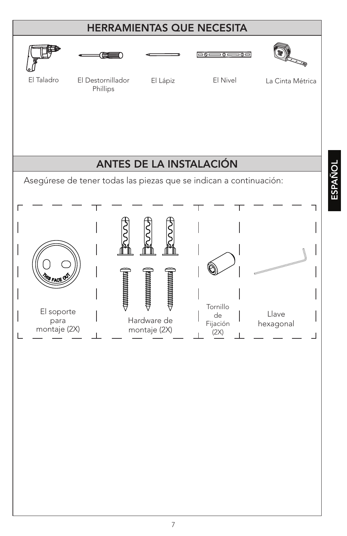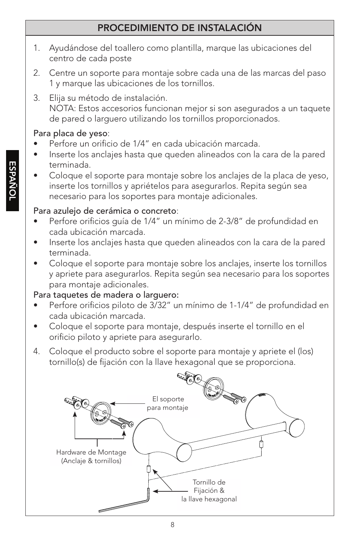## PROCEDIMIENTO DE INSTALACIÓN

- 1. Ayudándose del toallero como plantilla, marque las ubicaciones del centro de cada poste
- 2. Centre un soporte para montaje sobre cada una de las marcas del paso 1 y marque las ubicaciones de los tornillos.
- 3. Elija su método de instalación. NOTA: Estos accesorios funcionan mejor si son asegurados a un taquete de pared o larguero utilizando los tornillos proporcionados.

## Para placa de yeso:

- Perfore un orificio de 1/4" en cada ubicación marcada.
- Inserte los anclajes hasta que queden alineados con la cara de la pared terminada.
- Coloque el soporte para montaje sobre los anclajes de la placa de yeso, inserte los tornillos y apriételos para asegurarlos. Repita según sea necesario para los soportes para montaje adicionales.

# Para azulejo de cerámica o concreto:

- Perfore orificios quía de 1/4" un mínimo de 2-3/8" de profundidad en cada ubicación marcada.
- Inserte los anclajes hasta que queden alineados con la cara de la pared terminada.
- Coloque el soporte para montaje sobre los anclajes, inserte los tornillos y apriete para asegurarlos. Repita según sea necesario para los soportes para montaje adicionales.

# Para taquetes de madera o larguero:

- Perfore orificios piloto de 3/32" un mínimo de 1-1/4" de profundidad en cada ubicación marcada.
- Coloque el soporte para montaje, después inserte el tornillo en el orificio piloto y apriete para asegurarlo.
- 4. Coloque el producto sobre el soporte para montaje y apriete el (los) tornillo(s) de fijación con la llave hexagonal que se proporciona.

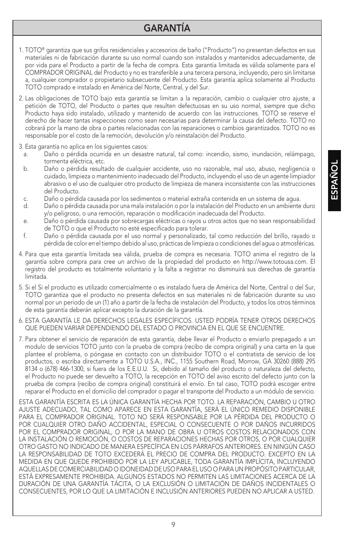# GARANTÍA

- 1. TOTO® garantiza que sus grifos residenciales y accesorios de baño ("Producto") no presentan defectos en sus materiales ni de fabricación durante su uso normal cuando son instalados y mantenidos adecuadamente, de por vida para el Producto a partir de la fecha de compra. Esta garantía limitada es válida solamente para el COMPRADOR ORIGINAL del Producto y no es transferible a una tercera persona, incluyendo, pero sin limitarse a, cualquier comprador o propietario subsecuente del Producto. Esta garantía aplica solamente al Producto TOTO comprado e instalado en América del Norte, Central, y del Sur.
- 2. Las obligaciones de TOTO bajo esta garantía se limitan a la reparación, cambio o cualquier otro ajuste, a petición de TOTO, del Producto o partes que resulten defectuosas en su uso normal, siempre que dicho Producto haya sido instalado, utilizado y mantenido de acuerdo con las instrucciones. TOTO se reserve el derecho de hacer tantas inspecciones como sean necesarias para determinar la causa del defecto. TOTO no cobrará por la mano de obra o partes relacionadas con las reparaciones o cambios garantizados. TOTO no es responsable por el costo de la remoción, devolución y/o reinstalación del Producto.
- 3. Esta garantía no aplica en los siguientes casos:
	- a. Daño o pérdida ocurrida en un desastre natural, tal como: incendio, sismo, inundación, relámpago, tormenta eléctrica, etc.
	- b. Daño o pérdida resultado de cualquier accidente, uso no razonable, mal uso, abuso, negligencia o cuidado, limpieza o mantenimiento inadecuado del Producto, incluyendo el uso de un agente limpiador abrasivo o el uso de cualquier otro producto de limpieza de manera inconsistente con las instrucciones del Producto.
	- c. Daño o pérdida causada por los sedimentos o material extraña contenida en un sistema de agua.
	- d. Daño o pérdida causada por una mala instalación o por la instalación del Producto en un ambiente duro y/o peligroso, o una remoción, reparación o modificación inadecuada del Producto.
	- e. Daño o pérdida causada por sobrecargas eléctricas o rayos u otros actos que no sean responsabilidad de TOTO o que el Producto no esté especificado para tolerar.
	- f. Daño o pérdida causada por el uso normal y personalizado, tal como reducción del brillo, rayado o pérdida de color en el tiempo debido al uso, prácticas de limpieza o condiciones del agua o atmosféricas.
- 4. Para que esta garantía limitada sea válida, prueba de compra es necesaria. TOTO anima el registro de la garantía sobre compra para cree un archivo de la propiedad del producto en http://www.totousa.com. El registro del producto es totalmente voluntario y la falta a registrar no disminuirá sus derechas de garantía limitada.
- 5. Si el Si el producto es utilizado comercialmente o es instalado fuera de América del Norte, Central o del Sur, TOTO garantiza que el producto no presenta defectos en sus materiales ni de fabricación durante su uso normal por un periodo de un (1) año a partir de la fecha de instalación del Producto, y todos los otros términos de esta garantía deberán aplicar excepto la duración de la garantía.
- 6. ESTA GARANTÍA LE DA DERECHOS LEGALES ESPECÍFICOS. USTED PODRÍA TENER OTROS DERECHOS QUE PUEDEN VARIAR DEPENDIENDO DEL ESTADO O PROVINCIA EN EL QUE SE ENCUENTRE.
- 7. Para obtener el servicio de reparación de esta garantía, debe llevar el Producto o enviarlo prepagado a un modulo de servicios TOTO junto con la prueba de compra (recibo de compra original) y una carta en la que plantee el problema, o póngase en contacto con un distribuidor TOTO o el contratista de servicio de los productos, o escriba directamente a TOTO U.S.A., INC., 1155 Southern Road, Morrow, GA 30260 (888) 295 8134 o (678) 466-1300, si fuera de los E.E.U.U. Si, debido al tamaño del producto o naturaleza del defecto, el Producto no puede ser devuelto a TOTO, la recepción en TOTO del aviso escrito del defecto junto con la prueba de compra (recibo de compra original) constituirá el envío. En tal caso, TOTO podrá escoger entre reparar el Producto en el domicilio del comprador o pagar el transporte del Producto a un módulo de servicio.

ESTA GARANTÍA ESCRITA ES LA ÚNICA GARANTÍA HECHA POR TOTO. LA REPARACIÓN, CAMBIO U OTRO AJUSTE ADECUADO, TAL COMO APARECE EN ESTA GARANTÍA, SERÁ EL ÚNICO REMEDIO DISPONIBLE PARA EL COMPRADOR ORIGINAL. TOTO NO SERÁ RESPONSABLE POR LA PÉRDIDA DEL PRODUCTO O POR CUALQUIER OTRO DAÑO ACCIDENTAL, ESPECIAL O CONSECUENTE O POR DAÑOS INCURRIDOS POR EL COMPRADOR ORIGINAL, O POR LA MANO DE OBRA U OTROS COSTOS RELACIONADOS CON LA INSTALACIÓN O REMOCIÓN, O COSTOS DE REPARACIONES HECHAS POR OTROS, O POR CUALQUIER OTRO GASTO NO INDICADO DE MANERA ESPECÍFICA EN LOS PÁRRAFOS ANTERIORES. EN NINGÚN CASO LA RESPONSABILIDAD DE TOTO EXCEDERÁ EL PRECIO DE COMPRA DEL PRODUCTO. EXCEPTO EN LA MEDIDA EN QUE QUEDE PROHIBIDO POR LA LEY APLICABLE, TODA GARANTÍA IMPLÍCITA, INCLUYENDO AQUELLAS DE COMERCIABILIDAD O IDONEIDAD DE USO PARA EL USO O PARA UN PROPÓSITO PARTICULAR, ESTÁ EXPRESAMENTE PROHIBIDA. ALGUNOS ESTADOS NO PERMITEN LAS LIMITACIONES ACERCA DE LA DURACIÓN DE UNA GARANTÍA TÁCITA, O LA EXCLUSIÓN O LIMITACIÓN DE DAÑOS INCIDENTALES O CONSECUENTES, POR LO QUE LA LIMITACIÓN E INCLUSIÓN ANTERIORES PUEDEN NO APLICAR A USTED.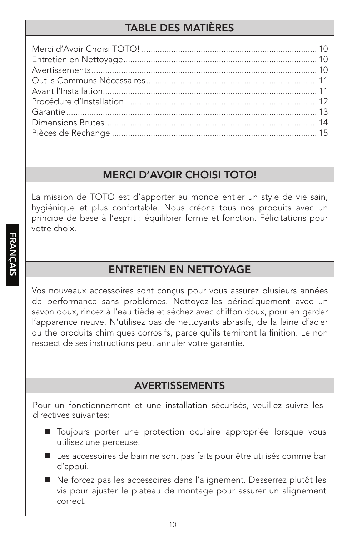# **TABLE DES MATIÈRES**

## **MERCI D'AVOIR CHOISI TOTO!**

La mission de TOTO est d'apporter au monde entier un style de vie sain, hygiénique et plus confortable. Nous créons tous nos produits avec un principe de base à l'esprit : équilibrer forme et fonction. Félicitations pour votre choix

# **ENTRETIEN EN NETTOYAGE**

Vos nouveaux accessoires sont conçus pour vous assurez plusieurs années de performance sans problèmes. Nettoyez-les périodiquement avec un savon doux, rincez à l'eau tiède et séchez avec chiffon doux, pour en garder l'apparence neuve. N'utilisez pas de nettoyants abrasifs, de la laine d'acier ou the produits chimiques corrosifs, parce qu'ils terniront la finition. Le non respect de ses instructions peut annuler votre garantie.

# **AVERTISSEMENTS**

Pour un fonctionnement et une installation sécurisés, veuillez suivre les directives suivantes:

- **In Toujours porter une protection oculaire appropriée lorsque vous** utilisez une perceuse.
- Les accessoires de bain ne sont pas faits pour être utilisés comme bar d'appui.

Ne forcez pas les accessoires dans l'alignement. Desserrez plutôt les vis pour ajuster le plateau de montage pour assurer un alignement correct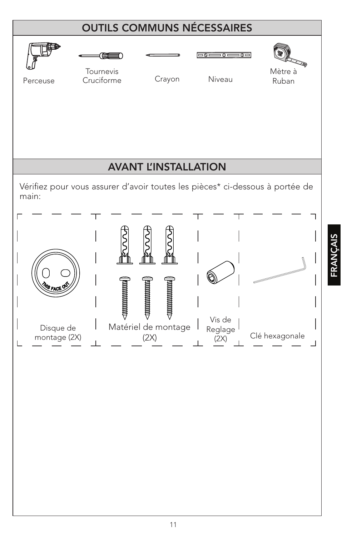

11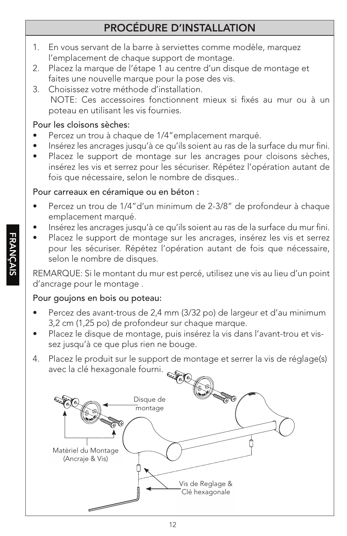# PROCÉDURE D'INSTALLATION

- 1. En vous servant de la barre à serviettes comme modèle, marquez l'emplacement de chaque support de montage.
- 2. Placez la marque de l'étape 1 au centre d'un disque de montage et faites une nouvelle marque pour la pose des vis.
- 3. Choisissez votre méthode d'installation. NOTE: Ces accessoires fonctionnent mieux si fixés au mur ou à un poteau en utilisant les vis fournies.

#### Pour les cloisons sèches:

- Percez un trou à chaque de 1/4" emplacement marqué.
- Insérez les ancrages jusqu'à ce qu'ils soient au ras de la surface du mur fini.
- Placez le support de montage sur les ancrages pour cloisons sèches, insérez les vis et serrez pour les sécuriser. Répétez l'opération autant de fois que nécessaire, selon le nombre de disques..

#### Pour carreaux en céramique ou en béton :

- Percez un trou de 1/4"d'un minimum de 2-3/8" de profondeur à chaque emplacement marqué.
- Insérez les ancrages jusqu'à ce qu'ils soient au ras de la surface du mur fini.
- Placez le support de montage sur les ancrages, insérez les vis et serrez pour les sécuriser. Répétez l'opération autant de fois que nécessaire, selon le nombre de disques.

REMARQUE: Si le montant du mur est percé, utilisez une vis au lieu d'un point d'ancrage pour le montage .

#### Pour goujons en bois ou poteau:

- Percez des avant-trous de 2,4 mm (3/32 po) de largeur et d'au minimum 3,2 cm (1,25 po) de profondeur sur chaque marque.
- Placez le disque de montage, puis insérez la vis dans l'avant-trou et vissez jusqu'à ce que plus rien ne bouge.
- 4. Placez le produit sur le support de montage et serrer la vis de réglage(s) avec la clé hexagonale fourni.

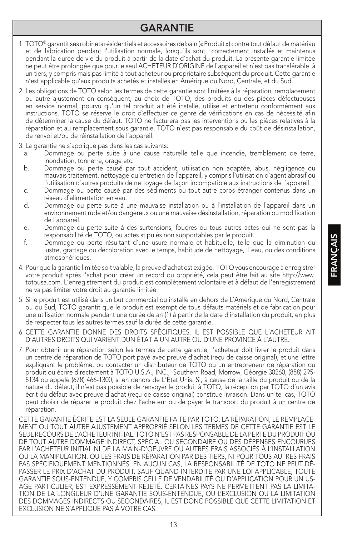#### GARANTIE

- 1. TOTO® garantit ses robinets résidentiels et accessoires de bain (« Produit ») contre tout défaut de matériau et de fabrication pendant l'utilisation normale, lorsqu`ils sont correctement installés et maintenus pendant la durée de vie du produit à partir de la date d`achat du produit. La présente garantie limitée ne peut être prolongée que pour le seul ACHETEUR D`ORIGINE de l`appareil et n`est pas transférable à un tiers, y compris mais pas limité à tout acheteur ou propriétaire subséquent du produit. Cette garantie n'est applicable qu'aux produits achetés et installés en Amérique du Nord, Centrale, et du Sud.
- 2. Les obligations de TOTO selon les termes de cette garantie sont limitées à la réparation, remplacement ou autre ajustement en conséquent, au choix de TOTO, des produits ou des pièces défectueuses en service normal, pourvu qu'un tel produit ait été installé, utilisé et entretenu conformément aux instructions. TOTO se réserve le droit d`effectuer ce genre de vérifications en cas de nécessité afin de déterminer la cause du défaut. TOTO ne facturera pas les interventions ou les pièces relatives à la réparation et au remplacement sous garantie. TOTO n`est pas responsable du coût de désinstallation, de renvoi et/ou de réinstallation de l`appareil.
- 3. La garantie ne s`applique pas dans les cas suivants:
	- a. Dommage ou perte suite à une cause naturelle telle que incendie, tremblement de terre, inondation, tonnerre, orage etc.
	- b. Dommage ou perte causé par tout accident, utilisation non adaptée, abus, négligence ou mauvais traitement, nettoyage ou entretien de l`appareil, y compris l`utilisation d`agent abrasif ou l`utilisation d`autres produits de nettoyage de façon incompatible aux instructions de l`appareil.
	- c. Dommage ou perte causé par des sédiments ou tout autre corps étranger contenus dans un réseau d`alimentation en eau.
	- d. Dommage ou perte suite à une mauvaise installation ou à l`installation de l`appareil dans un environnement rude et/ou dangereux ou une mauvaise désinstallation, réparation ou modification de l`appareil.
	- e. Dommage ou perte suite à des surtensions, foudres ou tous autres actes qui ne sont pas la responsabilité de TOTO, ou actes stipulés non supportables par le produit.
	- f. Dommage ou perte résultant d`une usure normale et habituelle, telle que la diminution du lustre, grattage ou décoloration avec le temps, habitude de nettoyage, l`eau, ou des conditions atmosphériques.
- 4. Pour que la garantie limitée soit valable, la preuve d'achat est exigée. TOTO vous encourage à enregistrer votre produit après l'achat pour créer un record du propriété, cela peut être fait au site http://www. totousa.com. L'enregistrement du produit est complètement volontaire et à défaut de l'enregistrement ne va pas limiter votre droit au garantie limitée.
- 5. Si le produit est utilisé dans un but commercial ou installé en dehors de L`Amérique du Nord, Centrale ou du Sud, TOTO garantit que le produit est exempt de tous défauts matériels et de fabrication pour une utilisation normale pendant une durée de an (1) à partir de la date d`installation du produit, en plus de respecter tous les autres termes sauf la durée de cette garantie.
- 6. CETTE GARANTIE DONNE DES DROITS SPÉCIFIQUES. IL EST POSSIBLE QUE L'ACHETEUR AIT D'AUTRES DROITS QUI VARIENT DUN ÉTAT A UN AUTRE OU D'UNE PROVINCE À L'AUTRE.
- 7. Pour obtenir une réparation selon les termes de cette garantie, l'acheteur doit livrer le produit dans un centre de réparation de TOTO port payé avec preuve d'achat (reçu de caisse original), et une lettre expliquant le problème, ou contacter un distributeur de TOTO ou un entrepreneur de réparation du produit ou écrire directement à TOTO U.S.A., INC., Southern Road, Morrow, Géorgie 30260, (888) 295- 8134 ou appelé (678) 466-1300, si en dehors de L'Etat Unis. Si, à cause de la taille du produit ou de la nature du défaut, il n'est pas possible de renvoyer le produit à TOTO, la réception par TOTO d'un avis écrit du défaut avec preuve d'achat (reçu de caisse original) constitue livraison. Dans un tel cas, TOTO peut choisir de réparer le produit chez l'acheteur ou de payer le transport du produit à un centre de réparation.

CETTE GARANTIE ÉCRITE EST LA SEULE GARANTIE FAITE PAR TOTO. LA RÉPARATION, LE REMPLACE-MENT OU TOUT AUTRE AJUSTEMENT APPROPRIÉ SELON LES TERMES DE CETTE GARANTIE EST LE SEUL RECOURS DE L'ACHETEUR INITIAL. TOTO N'EST PAS RESPONSABLE DE LA PERTE DU PRODUIT OU DE TOUT AUTRE DOMMAGE INDIRECT, SPÉCIAL OU SECONDAIRE OU DES DÉPENSES ENCOURUES PAR L'ACHETEUR INITIAL NI DE LA MAIN-D'OEUVRE OU AUTRES FRAIS ASSOCIÉS À L'INSTALLATION OU LA MANIPULATION, OU LES FRAIS DE RÉPARATION PAR DES TIERS, NI POUR TOUS AUTRES FRAIS PAS SPÉCIFIQUEMENT MENTIONNÉS. EN AUCUN CAS, LA RESPONSABILITÉ DE TOTO NE PEUT DÉ-PASSER LE PRIX D'ACHAT DU PRODUIT. SAUF QUAND INTERDITE PAR UNE LOI APPLICABLE, TOUTE GARANTIE SOUS-ENTENDUE, Y COMPRIS CELLE DE VENDABILITÉ OU D'APPLICATION POUR UN US-AGE PARTICULIER, EST EXPRESSÉMENT REJETÉ. CERTAINES PAYS NE PERMETTENT PAS LA LIMITA-TION DE LA LONGUEUR D'UNE GARANTIE SOUS-ENTENDUE, OU L'EXCLUSION OU LA LIMITATION DES DOMMAGES INDIRECTS OU SECONDAIRES, IL EST DONC POSSIBLE QUE CETTE LIMITATION ET EXCLUSION NE S'APPLIQUE PAS À VOTRE CAS.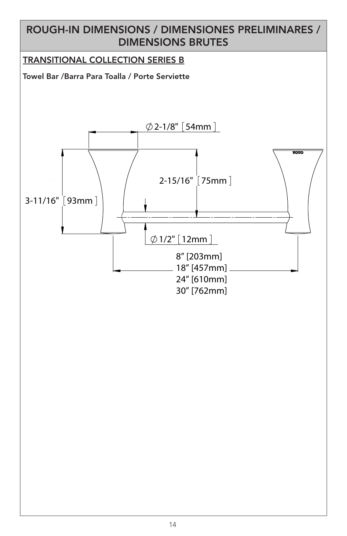## ROUGH-IN DIMENSIONS / DIMENSIONES PRELIMINARES / DIMENSIONS BRUTES

#### TRANSITIONAL COLLECTION SERIES B

Towel Bar /Barra Para Toalla / Porte Serviette

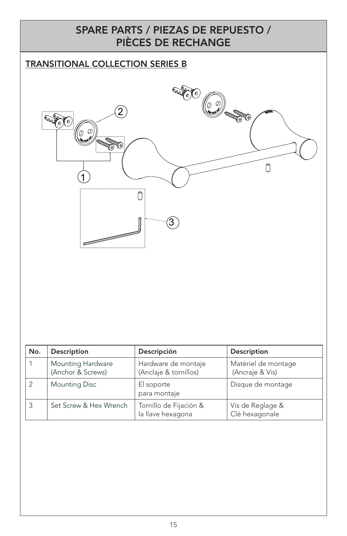#### SPARE PARTS / PIEZAS DE REPUESTO / PIÈCES DE RECHANGE

#### TRANSITIONAL COLLECTION SERIES B



| No. | Description                            | Descripción                                  | Description                            |
|-----|----------------------------------------|----------------------------------------------|----------------------------------------|
|     | Mounting Hardware<br>(Anchor & Screws) | Hardware de montaje<br>(Anclaje & tornillos) | Matériel de montage<br>(Ancraje & Vis) |
|     | <b>Mounting Disc</b>                   | El soporte<br>para montaje                   | Disque de montage                      |
|     | Set Screw & Hex Wrench                 | Tornillo de Fijación &<br>la llave hexagona  | Vis de Reglage &<br>Clé hexagonale     |